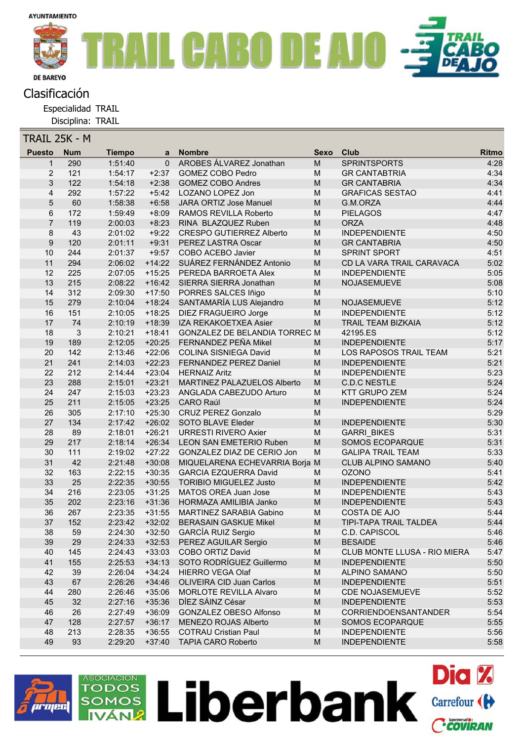

Especialidad TRAIL

Disciplina: TRAIL

| TRAIL 25K - M  |            |                    |          |                                      |                                                                                                            |                              |       |
|----------------|------------|--------------------|----------|--------------------------------------|------------------------------------------------------------------------------------------------------------|------------------------------|-------|
| <b>Puesto</b>  | <b>Num</b> | <b>Tiempo</b>      | a        | <b>Nombre</b>                        | <b>Sexo</b>                                                                                                | Club                         | Ritmo |
| 1              | 290        | 1:51:40            | $\Omega$ | <b>AROBES ÁLVAREZ Jonathan</b>       | M                                                                                                          | <b>SPRINTSPORTS</b>          | 4:28  |
| $\overline{2}$ | 121        | 1:54:17            | $+2:37$  | GOMEZ COBO Pedro                     | M                                                                                                          | <b>GR CANTABTRIA</b>         | 4:34  |
| 3              | 122        | 1:54:18            | $+2:38$  | <b>GOMEZ COBO Andres</b>             | ${\sf M}$                                                                                                  | <b>GR CANTABRIA</b>          | 4:34  |
| 4              | 292        | 1:57:22            | $+5:42$  | LOZANO LOPEZ Jon                     | M                                                                                                          | <b>GRAFICAS SESTAO</b>       | 4:41  |
| 5              | 60         | 1:58:38            | $+6:58$  | JARA ORTIZ Jose Manuel               | ${\sf M}$                                                                                                  | G.M.ORZA                     | 4:44  |
| 6              | 172        | 1:59:49            | $+8:09$  | RAMOS REVILLA Roberto                | M                                                                                                          | <b>PIELAGOS</b>              | 4:47  |
| 7              | 119        | 2:00:03            | $+8:23$  | RINA BLAZQUEZ Ruben                  | M                                                                                                          | <b>ORZA</b>                  | 4:48  |
| 8              | 43         | 2:01:02            | $+9:22$  | <b>CRESPO GUTIERREZ Alberto</b>      | M                                                                                                          | <b>INDEPENDIENTE</b>         | 4:50  |
| 9              | 120        | 2:01:11            | $+9:31$  | PEREZ LASTRA Oscar                   | M                                                                                                          | <b>GR CANTABRIA</b>          | 4:50  |
| 10             | 244        | 2:01:37            | $+9:57$  | COBO ACEBO Javier                    | M                                                                                                          | <b>SPRINT SPORT</b>          | 4:51  |
| 11             | 294        | 2:06:02            |          | +14:22 SUÁREZ FERNÁNDEZ Antonio      | $\mathsf{M}% _{T}=\mathsf{M}_{T}\!\left( a,b\right) ,\ \mathsf{M}_{T}=\mathsf{M}_{T}\!\left( a,b\right) ,$ | CD LA VARA TRAIL CARAVACA    | 5:02  |
| 12             | 225        | 2:07:05            | $+15:25$ | PEREDA BARROETA Alex                 | M                                                                                                          | <b>INDEPENDIENTE</b>         | 5:05  |
| 13             | 215        | 2:08:22            | $+16:42$ | SIERRA SIERRA Jonathan               | ${\sf M}$                                                                                                  | NOJASEMUEVE                  | 5:08  |
| 14             | 312        | 2:09:30            | $+17:50$ | PORRES SALCES Iñigo                  | M                                                                                                          |                              | 5:10  |
| 15             | 279        | 2:10:04            | $+18:24$ | SANTAMARÍA LUS Alejandro             | M                                                                                                          | NOJASEMUEVE                  | 5:12  |
| 16             | 151        | 2:10:05            | $+18:25$ | DIEZ FRAGUEIRO Jorge                 | M                                                                                                          | <b>INDEPENDIENTE</b>         | 5:12  |
| 17             | 74         | 2:10:19            | $+18:39$ | IZA REKAKOETXEA Asier                | M                                                                                                          | TRAIL TEAM BIZKAIA           | 5:12  |
| 18             | 3          | 2:10:21            | $+18:41$ | <b>GONZALEZ DE BELANDIA TORREC M</b> |                                                                                                            | 42195.ES                     | 5:12  |
| 19             | 189        | 2:12:05            | $+20:25$ | FERNANDEZ PEÑA Mikel                 | M                                                                                                          | <b>INDEPENDIENTE</b>         | 5:17  |
| 20             | 142        | 2:13:46            | $+22:06$ | <b>COLINA SISNIEGA David</b>         | M                                                                                                          | LOS RAPOSOS TRAIL TEAM       | 5:21  |
| 21             | 241        | 2:14:03            | $+22:23$ | FERNANDEZ PEREZ Daniel               | M                                                                                                          | <b>INDEPENDIENTE</b>         | 5:21  |
| 22             | 212        | 2:14:44            | $+23:04$ | <b>HERNAIZ Aritz</b>                 | M                                                                                                          | <b>INDEPENDIENTE</b>         | 5:23  |
| 23             | 288        | 2:15:01            | $+23:21$ | MARTINEZ PALAZUELOS Alberto          | $\mathsf{M}% _{T}=\mathsf{M}_{T}\!\left( a,b\right) ,\ \mathsf{M}_{T}=\mathsf{M}_{T}\!\left( a,b\right) ,$ | <b>C.D.C NESTLE</b>          | 5:24  |
| 24             | 247        | 2:15:03            | $+23:23$ | ANGLADA CABEZUDO Arturo              | M                                                                                                          | <b>KTT GRUPO ZEM</b>         | 5:24  |
| 25             | 211        | 2:15:05            | $+23:25$ | <b>CARO Raúl</b>                     | M                                                                                                          | <b>INDEPENDIENTE</b>         | 5:24  |
| 26             | 305        | 2:17:10            | $+25:30$ | <b>CRUZ PEREZ Gonzalo</b>            | M                                                                                                          |                              | 5:29  |
| 27             | 134        | 2:17:42            | $+26:02$ | SOTO BLAVE Eleder                    | M                                                                                                          | <b>INDEPENDIENTE</b>         | 5:30  |
| 28             | 89         | 2:18:01            | $+26:21$ | <b>URRESTI RIVERO Axier</b>          | ${\sf M}$                                                                                                  | <b>GARRI BIKES</b>           | 5:31  |
| 29             | 217        | 2:18:14            | $+26:34$ | <b>LEON SAN EMETERIO Ruben</b>       | ${\sf M}$                                                                                                  | SOMOS ECOPARQUE              | 5:31  |
| 30             | 111        | 2:19:02            | $+27:22$ | GONZALEZ DIAZ DE CERIO Jon           | M                                                                                                          | <b>GALIPA TRAIL TEAM</b>     | 5:33  |
| 31             | 42         | 2:21:48            | $+30:08$ | MIQUELARENA ECHEVARRIA Borja M       |                                                                                                            | <b>CLUB ALPINO SAMANO</b>    | 5:40  |
| 32             | 163        | 2:22:15            | $+30:35$ | <b>GARCIA EZQUERRA David</b>         | М                                                                                                          | <b>OZONO</b>                 | 5:41  |
| 33             | 25         | 2:22:35            | $+30:55$ | <b>TORIBIO MIGUELEZ Justo</b>        | $\mathsf{M}% _{T}=\mathsf{M}_{T}\!\left( a,b\right) ,\ \mathsf{M}_{T}=\mathsf{M}_{T}\!\left( a,b\right) ,$ | <b>INDEPENDIENTE</b>         | 5:42  |
| 34             | 216        | 2:23:05            | $+31:25$ | MATOS OREA Juan Jose                 | M                                                                                                          | <b>INDEPENDIENTE</b>         | 5:43  |
| 35             | 202        | 2:23:16            | $+31:36$ | HORMAZA AMILIBIA Janko               | M                                                                                                          | <b>INDEPENDIENTE</b>         | 5:43  |
| 36             | 267        | 2:23:35            | $+31:55$ | MARTINEZ SARABIA Gabino              | ${\sf M}$                                                                                                  | COSTA DE AJO                 | 5:44  |
| 37             | 152        | 2:23:42            | $+32:02$ | <b>BERASAIN GASKUE Mikel</b>         | M                                                                                                          | TIPI-TAPA TRAIL TALDEA       | 5:44  |
| 38             | 59         | 2:24:30            | $+32:50$ | <b>GARCÍA RUIZ Sergio</b>            | M                                                                                                          | C.D. CAPISCOL                | 5:46  |
| 39             | 29         | 2:24:33            | $+32:53$ | PEREZ AGUILAR Sergio                 | M                                                                                                          | <b>BESAIDE</b>               | 5:46  |
| 40             | 145        | 2:24:43            | $+33:03$ | <b>COBO ORTIZ David</b>              | M                                                                                                          | CLUB MONTE LLUSA - RIO MIERA | 5:47  |
| 41             | 155        | 2:25:53            | $+34:13$ | SOTO RODRÍGUEZ Guillermo             | M                                                                                                          | <b>INDEPENDIENTE</b>         | 5:50  |
| 42             | 39         | 2:26:04            | $+34:24$ | <b>HIERRO VEGA Olaf</b>              | M                                                                                                          | ALPINO SAMANO                | 5:50  |
| 43             | 67         | 2:26:26            | $+34:46$ | OLIVEIRA CID Juan Carlos             | M                                                                                                          | <b>INDEPENDIENTE</b>         | 5:51  |
| 44             | 280        | 2:26:46            | $+35:06$ | <b>MORLOTE REVILLA Alvaro</b>        | M                                                                                                          | <b>CDE NOJASEMUEVE</b>       | 5:52  |
| 45             | 32         | 2:27:16            | $+35:36$ | DÍEZ SÁINZ César                     | M                                                                                                          | <b>INDEPENDIENTE</b>         | 5:53  |
| 46             | 26         | 2:27:49<br>2:27:57 | $+36:09$ | GONZALEZ OBESO Alfonso               | M                                                                                                          | CORRIENDOENSANTANDER         | 5:54  |
| 47             | 128        |                    | $+36:17$ | MENEZO ROJAS Alberto                 | M                                                                                                          | SOMOS ECOPARQUE              | 5:55  |
| 48             | 213        | 2:28:35            | $+36:55$ | <b>COTRAU Cristian Paul</b>          | M                                                                                                          | <b>INDEPENDIENTE</b>         | 5:56  |
| 49             | 93         | 2:29:20            | $+37:40$ | <b>TAPIA CARO Roberto</b>            | M                                                                                                          | <b>INDEPENDIENTE</b>         | 5:58  |

Liberbank Carrefour (H

**Dia %** 

Ccoviran



ASOCIACIÓN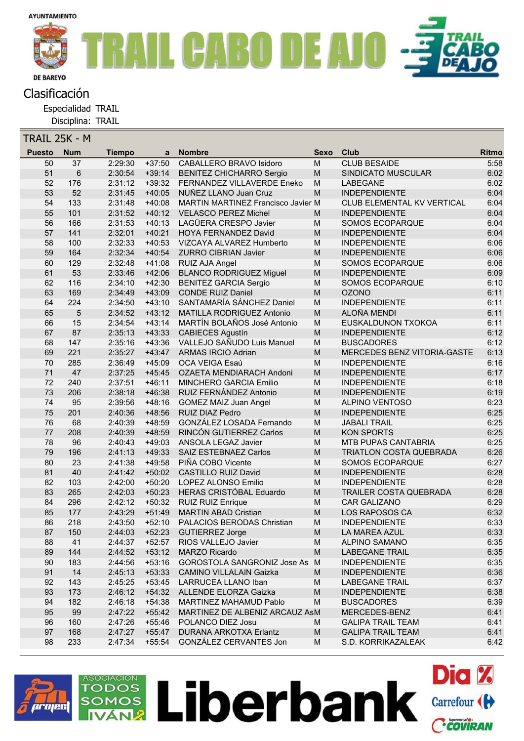

Especialidad TRAIL

Disciplina: TRAIL

| TRAIL 25K - M |                 |               |          |                                    |                                                                                       |                                |              |
|---------------|-----------------|---------------|----------|------------------------------------|---------------------------------------------------------------------------------------|--------------------------------|--------------|
| <b>Puesto</b> | <b>Num</b>      | <b>Tiempo</b> | a        | <b>Nombre</b>                      | <b>Sexo</b>                                                                           | Club                           | <b>Ritmo</b> |
| 50            | $\overline{37}$ | 2:29:30       | $+37:50$ | <b>CABALLERO BRAVO Isidoro</b>     | M                                                                                     | <b>CLUB BESAIDE</b>            | 5:58         |
| 51            | 6               | 2:30:54       | $+39:14$ | <b>BENITEZ CHICHARRO Sergio</b>    | M                                                                                     | SINDICATO MUSCULAR             | 6:02         |
| 52            | 176             | 2:31:12       | $+39:32$ | FERNANDEZ VILLAVERDE Eneko         | M                                                                                     | <b>LABEGANE</b>                | 6:02         |
| 53            | 52              | 2:31:45       | $+40:05$ | NUÑEZ LLANO Juan Cruz              | M                                                                                     | <b>INDEPENDIENTE</b>           | 6:04         |
| 54            | 133             | 2:31:48       | $+40:08$ | MARTIN MARTINEZ Francisco Javier M |                                                                                       | CLUB ELEMENTAL KV VERTICAL     | 6:04         |
| 55            | 101             | 2:31:52       | $+40:12$ | <b>VELASCO PEREZ Michel</b>        | M                                                                                     | <b>INDEPENDIENTE</b>           | 6:04         |
| 56            | 166             | 2:31:53       | $+40:13$ | LAGÜERA CRESPO Javier              | M                                                                                     | SOMOS ECOPARQUE                | 6:04         |
| 57            | 141             | 2:32:01       | $+40:21$ | HOYA FERNANDEZ David               | M                                                                                     | <b>INDEPENDIENTE</b>           | 6:04         |
| 58            | 100             | 2:32:33       | $+40:53$ | VIZCAYA ALVAREZ Humberto           | M                                                                                     | <b>INDEPENDIENTE</b>           | 6:06         |
| 59            | 164             | 2:32:34       | $+40:54$ | <b>ZURRO CIBRIAN Javier</b>        | M                                                                                     | <b>INDEPENDIENTE</b>           | 6:06         |
| 60            | 129             | 2:32:48       | $+41:08$ | RUIZ AJA Angel                     | M                                                                                     | SOMOS ECOPARQUE                | 6:06         |
| 61            | 53              | 2:33:46       | $+42:06$ | <b>BLANCO RODRIGUEZ Miguel</b>     | M                                                                                     | <b>INDEPENDIENTE</b>           | 6:09         |
| 62            | 116             | 2:34:10       | $+42:30$ | <b>BENITEZ GARCIA Sergio</b>       | M                                                                                     | SOMOS ECOPARQUE                | 6:10         |
| 63            | 169             | 2:34:49       | $+43:09$ | <b>CONDE RUIZ Daniel</b>           | M                                                                                     | <b>OZONO</b>                   | 6:11         |
| 64            | 224             | 2:34:50       | $+43:10$ | SANTAMARÍA SÁNCHEZ Daniel          | M                                                                                     | <b>INDEPENDIENTE</b>           | 6:11         |
| 65            | $\sqrt{5}$      | 2:34:52       | $+43:12$ | MATILLA RODRIGUEZ Antonio          | M                                                                                     | ALOÑA MENDI                    | 6:11         |
| 66            | 15              | 2:34:54       | $+43:14$ | MARTÍN BOLAÑOS José Antonio        | M                                                                                     | EUSKALDUNON TXOKOA             | 6:11         |
| 67            | 87              | 2:35:13       | $+43:33$ | <b>CABIECES Agustín</b>            | M                                                                                     | <b>INDEPENDIENTE</b>           | 6:12         |
| 68            | 147             | 2:35:16       | $+43:36$ | VALLEJO SAÑUDO Luis Manuel         | M                                                                                     | <b>BUSCADORES</b>              | 6:12         |
| 69            | 221             | 2:35:27       | $+43:47$ | <b>ARMAS IRCIO Adrian</b>          | M                                                                                     | MERCEDES BENZ VITORIA-GASTE    | 6:13         |
| 70            | 285             | 2:36:49       | $+45:09$ | OCA VEIGA Esaú                     | M                                                                                     | <b>INDEPENDIENTE</b>           | 6:16         |
| 71            | 47              | 2:37:25       | $+45:45$ | OZAETA MENDIARACH Andoni           | M                                                                                     | <b>INDEPENDIENTE</b>           | 6:17         |
| 72            | 240             | 2:37:51       | $+46:11$ | <b>MINCHERO GARCIA Emilio</b>      | M                                                                                     | <b>INDEPENDIENTE</b>           | 6:18         |
| 73            | 206             | 2:38:18       | $+46:38$ | RUIZ FERNÁNDEZ Antonio             | ${\sf M}$                                                                             | <b>INDEPENDIENTE</b>           | 6:19         |
| 74            | 95              | 2:39:56       | $+48:16$ | <b>GOMEZ MAIZ Juan Angel</b>       | M                                                                                     | <b>ALPINO VENTOSO</b>          | 6:23         |
| 75            | 201             | 2:40:36       | $+48:56$ | RUIZ DIAZ Pedro                    | M                                                                                     | <b>INDEPENDIENTE</b>           | 6:25         |
| 76            | 68              | 2:40:39       | $+48:59$ | GONZÁLEZ LOSADA Fernando           | $\mathsf{M}% _{T}=\mathsf{M}_{T}\!\left( a,b\right) ,\ \mathsf{M}_{T}=\mathsf{M}_{T}$ | <b>JABALI TRAIL</b>            | 6:25         |
| $77 \,$       | 208             | 2:40:39       | $+48:59$ | RINCÓN GUTIERREZ Carlos            | M                                                                                     | <b>KON SPORTS</b>              | 6:25         |
| 78            | 96              | 2:40:43       | $+49:03$ | ANSOLA LEGAZ Javier                | M                                                                                     | MTB PUPAS CANTABRIA            | 6:25         |
| 79            | 196             | 2:41:13       | $+49:33$ | SAIZ ESTEBNAEZ Carlos              | M                                                                                     | <b>TRIATLON COSTA QUEBRADA</b> | 6:26         |
| 80            | 23              | 2:41:38       | $+49:58$ | PIÑA COBO Vicente                  | M                                                                                     | SOMOS ECOPARQUE                | 6:27         |
| 81            | 40              | 2:41:42       | $+50:02$ | CASTILLO RUIZ David                | M                                                                                     | <b>INDEPENDIENTE</b>           | 6:28         |
| 82            | 103             | 2:42:00       | $+50:20$ | LOPEZ ALONSO Emilio                | M                                                                                     | <b>INDEPENDIENTE</b>           | 6:28         |
| 83            | 265             | 2:42:03       | $+50:23$ | <b>HERAS CRISTÓBAL Eduardo</b>     | M                                                                                     | <b>TRAILER COSTA QUEBRADA</b>  | 6:28         |
| 84            | 296             | 2:42:12       | $+50:32$ | <b>RUIZ RUIZ Enrique</b>           | M                                                                                     | <b>CAR GALIZANO</b>            | 6:29         |
| 85            | 177             | 2:43:29       | $+51:49$ | <b>MARTIN ABAD Cristian</b>        | M                                                                                     | LOS RAPOSOS CA                 | 6:32         |
| 86            | 218             | 2:43:50       | $+52:10$ | <b>PALACIOS BERODAS Christian</b>  | M                                                                                     | <b>INDEPENDIENTE</b>           | 6:33         |
| 87            | 150             | 2:44:03       | $+52:23$ | <b>GUTIERREZ Jorge</b>             | M                                                                                     | LA MAREA AZUL                  | 6:33         |
| 88            | 41              | 2:44:37       | $+52:57$ | RIOS VALLEJO Javier                | M                                                                                     | ALPINO SAMANO                  | 6:35         |
| 89            | 144             | 2:44:52       | $+53:12$ | <b>MARZO Ricardo</b>               | ${\sf M}$                                                                             | <b>LABEGANE TRAIL</b>          | 6:35         |
| 90            | 183             | 2:44:56       | $+53:16$ | GOROSTOLA SANGRONIZ Jose As M      |                                                                                       | <b>INDEPENDIENTE</b>           | 6:35         |
| 91            | 14              | 2:45:13       | $+53:33$ | <b>CAMINO VILLALAIN Gaizka</b>     | M                                                                                     | <b>INDEPENDIENTE</b>           | 6:36         |
| 92            | 143             | 2:45:25       | $+53:45$ | LARRUCEA LLANO Iban                | M                                                                                     | <b>LABEGANE TRAIL</b>          | 6:37         |
| 93            | 173             | 2:46:12       | $+54:32$ | ALLENDE ELORZA Gaizka              | M                                                                                     | <b>INDEPENDIENTE</b>           | 6:38         |
| 94            | 182             | 2:46:18       | $+54:38$ | MARTINEZ MAHAMUD Pablo             | M                                                                                     | <b>BUSCADORES</b>              | 6:39         |
| 95            | 99              | 2:47:22       | $+55:42$ | MARTINEZ DE ALBENIZ ARCAUZ AsM     |                                                                                       | MERCEDES-BENZ                  | 6:41         |
| 96            | 160             | 2:47:26       | +55:46   | POLANCO DIEZ Josu                  | M                                                                                     | <b>GALIPA TRAIL TEAM</b>       | 6:41         |
| 97            | 168             | 2:47:27       | $+55:47$ | <b>DURANA ARKOTXA Erlantz</b>      | M                                                                                     | <b>GALIPA TRAIL TEAM</b>       | 6:41         |
| 98            | 233             | 2:47:34       | $+55:54$ | GONZÁLEZ CERVANTES Jon             | M                                                                                     | S.D. KORRIKAZALEAK             | 6:42         |
|               |                 |               |          |                                    |                                                                                       |                                |              |



ASOCIACIÓN

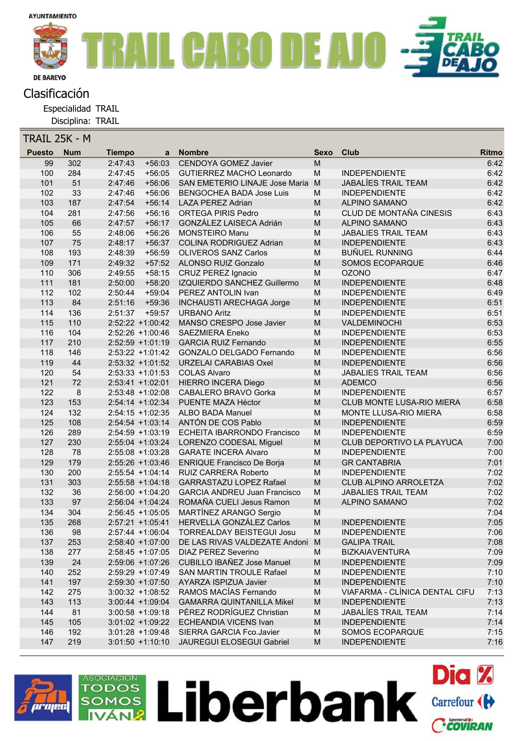

Especialidad TRAIL

Disciplina: TRAIL

| TRAIL 25K - M |               |            |               |                     |                                     |                                                                                                            |                                |       |
|---------------|---------------|------------|---------------|---------------------|-------------------------------------|------------------------------------------------------------------------------------------------------------|--------------------------------|-------|
|               | <b>Puesto</b> | <b>Num</b> | <b>Tiempo</b> | a                   | <b>Nombre</b>                       | Sexo                                                                                                       | Club                           | Ritmo |
|               | 99            | 302        | 2:47:43       | $+56:03$            | <b>CENDOYA GOMEZ Javier</b>         | M                                                                                                          |                                | 6:42  |
|               | 100           | 284        | 2:47:45       | $+56:05$            | GUTIERREZ MACHO Leonardo            | M                                                                                                          | <b>INDEPENDIENTE</b>           | 6:42  |
|               | 101           | 51         | 2:47:46       | $+56:06$            | SAN EMETERIO LINAJE Jose Maria M    |                                                                                                            | <b>JABALÍES TRAIL TEAM</b>     | 6:42  |
|               | 102           | 33         | 2:47:46       | $+56:06$            | <b>BENGOCHEA BADA Jose Luis</b>     | M                                                                                                          | <b>INDEPENDIENTE</b>           | 6:42  |
|               | 103           | 187        | 2:47:54       | $+56:14$            | <b>LAZA PEREZ Adrian</b>            | M                                                                                                          | ALPINO SAMANO                  | 6:42  |
|               | 104           | 281        | 2:47:56       | $+56:16$            | <b>ORTEGA PIRIS Pedro</b>           | M                                                                                                          | CLUD DE MONTAÑA CINESIS        | 6:43  |
|               | 105           | 66         | 2:47:57       | $+56:17$            | GONZÁLEZ LAISECA Adrián             | $\mathsf{M}% _{T}=\mathsf{M}_{T}\!\left( a,b\right) ,\ \mathsf{M}_{T}=\mathsf{M}_{T}\!\left( a,b\right) ,$ | <b>ALPINO SAMANO</b>           | 6:43  |
|               | 106           | 55         | 2:48:06       | $+56:26$            | <b>MONSTEIRO Manu</b>               | ${\sf M}$                                                                                                  | <b>JABALIES TRAIL TEAM</b>     | 6:43  |
|               | 107           | 75         | 2:48:17       | $+56:37$            | <b>COLINA RODRIGUEZ Adrian</b>      | ${\sf M}$                                                                                                  | <b>INDEPENDIENTE</b>           | 6:43  |
|               | 108           | 193        | 2:48:39       | $+56:59$            | <b>OLIVEROS SANZ Carlos</b>         | M                                                                                                          | <b>BUÑUEL RUNNING</b>          | 6:44  |
|               | 109           | 171        | 2:49:32       | $+57:52$            | <b>ALONSO RUIZ Gonzalo</b>          | $\mathsf{M}% _{T}=\mathsf{M}_{T}\!\left( a,b\right) ,\ \mathsf{M}_{T}=\mathsf{M}_{T}\!\left( a,b\right) ,$ | <b>SOMOS ECOPARQUE</b>         | 6:46  |
|               | 110           | 306        | 2:49:55       | $+58:15$            | CRUZ PEREZ Ignacio                  | ${\sf M}$                                                                                                  | <b>OZONO</b>                   | 6:47  |
|               | 111           | 181        | 2:50:00       | $+58:20$            | IZQUIERDO SANCHEZ Guillermo         | ${\sf M}$                                                                                                  | <b>INDEPENDIENTE</b>           | 6:48  |
|               | 112           | 102        | 2:50:44       | $+59:04$            | PEREZ ANTOLIN Ivan                  | M                                                                                                          | <b>INDEPENDIENTE</b>           | 6:49  |
|               | 113           | 84         | 2:51:16       | $+59:36$            | <b>INCHAUSTI ARECHAGA Jorge</b>     | $\mathsf{M}% _{T}=\mathsf{M}_{T}\!\left( a,b\right) ,\ \mathsf{M}_{T}=\mathsf{M}_{T}\!\left( a,b\right) ,$ | <b>INDEPENDIENTE</b>           | 6:51  |
|               | 114           | 136        | 2:51:37       | $+59:57$            | <b>URBANO Aritz</b>                 | M                                                                                                          | <b>INDEPENDIENTE</b>           | 6:51  |
|               | 115           | 110        |               | 2:52:22 +1:00:42    | MANSO CRESPO Jose Javier            | $\mathsf{M}% _{T}=\mathsf{M}_{T}\!\left( a,b\right) ,\ \mathsf{M}_{T}=\mathsf{M}_{T}\!\left( a,b\right) ,$ | VALDEMINOCHI                   | 6:53  |
|               | 116           | 104        |               | 2:52:26 +1:00:46    | <b>SAEZMIERA Eneko</b>              | M                                                                                                          | <b>INDEPENDIENTE</b>           | 6:53  |
|               | 117           | 210        |               | $2:52:59$ +1:01:19  | <b>GARCIA RUIZ Fernando</b>         | $\mathsf{M}% _{T}=\mathsf{M}_{T}\!\left( a,b\right) ,\ \mathsf{M}_{T}=\mathsf{M}_{T}\!\left( a,b\right) ,$ | <b>INDEPENDIENTE</b>           | 6:55  |
|               | 118           | 146        |               | $2:53:22 +1:01:42$  | <b>GONZALO DELGADO Fernando</b>     | M                                                                                                          | <b>INDEPENDIENTE</b>           | 6:56  |
|               | 119           | 44         |               | $2:53:32 +1:01:52$  | <b>URZELAI CARABIAS Oxel</b>        | ${\sf M}$                                                                                                  | <b>INDEPENDIENTE</b>           | 6:56  |
|               | 120           | 54         |               | $2:53:33 + 1:01:53$ | <b>COLAS Alvaro</b>                 | M                                                                                                          | <b>JABALIES TRAIL TEAM</b>     | 6:56  |
|               | 121           | 72         |               | 2:53:41 +1:02:01    | HIERRO INCERA Diego                 | $\mathsf{M}% _{T}=\mathsf{M}_{T}\!\left( a,b\right) ,\ \mathsf{M}_{T}=\mathsf{M}_{T}\!\left( a,b\right) ,$ | <b>ADEMCO</b>                  | 6:56  |
|               | 122           | 8          |               | 2:53:48 +1:02:08    | CABALERO BRAVO Gorka                | M                                                                                                          | <b>INDEPENDIENTE</b>           | 6:57  |
|               | 123           | 153        |               | 2:54:14 +1:02:34    | PUENTE MAZA Héctor                  | $\mathsf{M}% _{T}=\mathsf{M}_{T}\!\left( a,b\right) ,\ \mathsf{M}_{T}=\mathsf{M}_{T}\!\left( a,b\right) ,$ | CLUB MONTE LUSA-RIO MIERA      | 6:58  |
|               | 124           | 132        |               | $2:54:15 +1:02:35$  | <b>ALBO BADA Manuel</b>             | M                                                                                                          | MONTE LLUSA-RIO MIERA          | 6:58  |
|               | 125           | 108        |               | $2:54:54$ +1:03:14  | ANTÓN DE COS Pablo                  | $\mathsf{M}% _{T}=\mathsf{M}_{T}\!\left( a,b\right) ,\ \mathsf{M}_{T}=\mathsf{M}_{T}\!\left( a,b\right) ,$ | <b>INDEPENDIENTE</b>           | 6:59  |
|               | 126           | 289        |               | 2:54:59 +1:03:19    | <b>ECHEITA IBARRONDO Francisco</b>  | ${\sf M}$                                                                                                  | <b>INDEPENDIENTE</b>           | 6:59  |
|               | 127           | 230        |               | 2:55:04 +1:03:24    | LORENZO CODESAL Miguel              | $\mathsf{M}% _{T}=\mathsf{M}_{T}\!\left( a,b\right) ,\ \mathsf{M}_{T}=\mathsf{M}_{T}\!\left( a,b\right) ,$ | CLUB DEPORTIVO LA PLAYUCA      | 7:00  |
|               | 128           | 78         |               | 2:55:08 +1:03:28    | <b>GARATE INCERA Alvaro</b>         | M                                                                                                          | <b>INDEPENDIENTE</b>           | 7:00  |
|               | 129           | 179        |               | 2:55:26 +1:03:46    | <b>ENRIQUE Francisco De Borja</b>   | $\mathsf{M}% _{T}=\mathsf{M}_{T}\!\left( a,b\right) ,\ \mathsf{M}_{T}=\mathsf{M}_{T}\!\left( a,b\right) ,$ | <b>GR CANTABRIA</b>            | 7:01  |
|               | 130           | 200        |               | $2:55:54$ +1:04:14  | <b>RUIZ CARRERA Roberto</b>         | ${\sf M}$                                                                                                  | <b>INDEPENDIENTE</b>           | 7:02  |
|               | 131           | 303        |               | $2:55:58$ +1:04:18  | <b>GARRASTAZU LOPEZ Rafael</b>      | $\mathsf{M}% _{T}=\mathsf{M}_{T}\!\left( a,b\right) ,\ \mathsf{M}_{T}=\mathsf{M}_{T}\!\left( a,b\right) ,$ | CLUB ALPINO ARROLETZA          | 7:02  |
|               | 132           | 36         |               | $2:56:00 +1:04:20$  | <b>GARCIA ANDREU Juan Francisco</b> | M                                                                                                          | <b>JABALIES TRAIL TEAM</b>     | 7:02  |
|               | 133           | 97         |               | 2:56:04 +1:04:24    | ROMAÑA CUELI Jesus Ramon            | $\mathsf{M}% _{T}=\mathsf{M}_{T}\!\left( a,b\right) ,\ \mathsf{M}_{T}=\mathsf{M}_{T}\!\left( a,b\right) ,$ | <b>ALPINO SAMANO</b>           | 7:02  |
|               | 134           | 304        |               | $2:56:45 +1:05:05$  | MARTÍNEZ ARANGO Sergio              | ${\sf M}$                                                                                                  |                                | 7:04  |
|               | 135           | 268        |               | 2:57:21 +1:05:41    | HERVELLA GONZÁLEZ Carlos            | M                                                                                                          | <b>INDEPENDIENTE</b>           | 7:05  |
|               | 136           | 98         |               | 2:57:44 +1:06:04    | TORREALDAY BEISTEGUI Josu           | M                                                                                                          | <b>INDEPENDIENTE</b>           | 7:06  |
|               | 137           | 253        |               | 2:58:40 +1:07:00    | DE LAS RIVAS VALDEZATE Andoni M     |                                                                                                            | <b>GALIPA TRAIL</b>            | 7:08  |
|               | 138           | 277        |               | $2:58:45 +1:07:05$  | <b>DIAZ PEREZ Severino</b>          | M                                                                                                          | <b>BIZKAIAVENTURA</b>          | 7:09  |
|               | 139           | 24         |               | 2:59:06 +1:07:26    | <b>CUBILLO IBAÑEZ Jose Manuel</b>   | ${\sf M}$                                                                                                  | <b>INDEPENDIENTE</b>           | 7:09  |
|               | 140           | 252        |               | 2:59:29 +1:07:49    | <b>SAN MARTIN TROULE Rafael</b>     | M                                                                                                          | <b>INDEPENDIENTE</b>           | 7:10  |
|               | 141           | 197        |               | 2:59:30 +1:07:50    | AYARZA ISPIZUA Javier               | M                                                                                                          | <b>INDEPENDIENTE</b>           | 7:10  |
|               | 142           | 275        |               | $3:00:32 +1:08:52$  | RAMOS MACÍAS Fernando               | M                                                                                                          | VIAFARMA - CLÍNICA DENTAL CIFU | 7:13  |
|               | 143           | 113        |               | $3:00:44 +1:09:04$  | <b>GAMARRA QUINTANILLA Mikel</b>    | ${\sf M}$                                                                                                  | <b>INDEPENDIENTE</b>           | 7:13  |
|               | 144           | 81         |               | $3:00:58 +1:09:18$  | PÉREZ RODRÍGUEZ Christian           | M                                                                                                          | JABALÍES TRAIL TEAM            | 7:14  |
|               | 145           | 105        |               | $3:01:02 +1:09:22$  | <b>ECHEANDIA VICENS Ivan</b>        | M                                                                                                          | <b>INDEPENDIENTE</b>           | 7:14  |
|               | 146           | 192        |               | $3:01:28 +1:09:48$  | SIERRA GARCIA Fco.Javier            | M                                                                                                          | SOMOS ECOPARQUE                | 7:15  |
|               | 147           | 219        |               | $3:01:50 +1:10:10$  | <b>JAUREGUI ELOSEGUI Gabriel</b>    | M                                                                                                          | <b>INDEPENDIENTE</b>           | 7:16  |
|               |               |            |               |                     |                                     |                                                                                                            |                                |       |

Liberbank Carrefour (H

**Dia %** 

Ccoviran



ASOCIACIÓN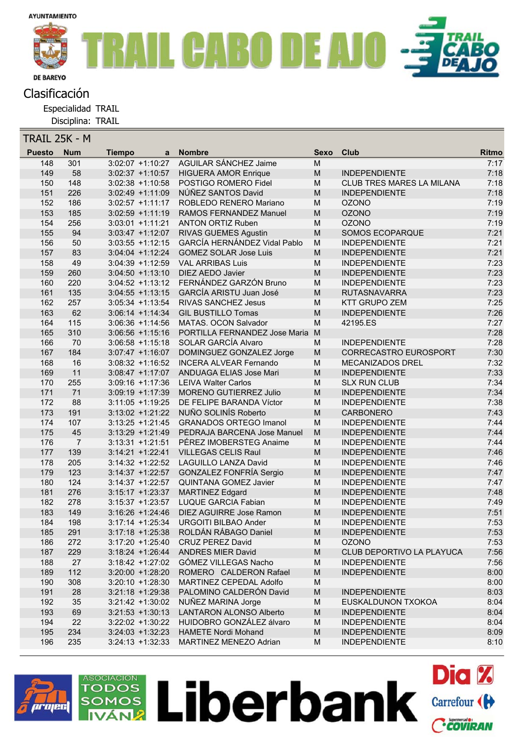

Especialidad TRAIL

Disciplina: TRAIL

| TRAIL 25K - M |                |               |                     |                                     |             |                              |              |
|---------------|----------------|---------------|---------------------|-------------------------------------|-------------|------------------------------|--------------|
| <b>Puesto</b> | <b>Num</b>     | <b>Tiempo</b> | a                   | <b>Nombre</b>                       | <b>Sexo</b> | Club                         | <b>Ritmo</b> |
| 148           | 301            |               | $3:02:07 +1:10:27$  | <b>AGUILAR SÁNCHEZ Jaime</b>        | M           |                              | 7:17         |
| 149           | 58             |               | $3:02:37 +1:10:57$  | <b>HIGUERA AMOR Enrique</b>         | M           | <b>INDEPENDIENTE</b>         | 7:18         |
| 150           | 148            |               | $3:02:38 +1:10:58$  | POSTIGO ROMERO Fidel                | M           | CLUB TRES MARES LA MILANA    | 7:18         |
| 151           | 226            |               | $3:02:49 +1:11:09$  | NÚÑEZ SANTOS David                  | M           | <b>INDEPENDIENTE</b>         | 7:18         |
| 152           | 186            |               | $3:02:57 +1:11:17$  | ROBLEDO RENERO Mariano              | M           | <b>OZONO</b>                 | 7:19         |
| 153           | 185            |               | $3:02:59 +1:11:19$  | RAMOS FERNANDEZ Manuel              | M           | <b>OZONO</b>                 | 7:19         |
| 154           | 256            |               | $3:03:01 +1:11:21$  | <b>ANTON ORTIZ Ruben</b>            | M           | <b>OZONO</b>                 | 7:19         |
| 155           | 94             |               | $3:03:47 +1:12:07$  | <b>RIVAS GUEMES Agustin</b>         | M           | SOMOS ECOPARQUE              | 7:21         |
| 156           | 50             |               | $3:03:55$ +1:12:15  | <b>GARCÍA HERNÁNDEZ Vidal Pablo</b> | M           | <b>INDEPENDIENTE</b>         | 7:21         |
| 157           | 83             |               | $3:04:04$ +1:12:24  | <b>GOMEZ SOLAR Jose Luis</b>        | ${\sf M}$   | <b>INDEPENDIENTE</b>         | 7:21         |
| 158           | 49             |               | $3:04:39 +1:12:59$  | <b>VAL ARRIBAS Luis</b>             | M           | <b>INDEPENDIENTE</b>         | 7:23         |
| 159           | 260            |               | $3:04:50 +1:13:10$  | <b>DIEZ AEDO Javier</b>             | M           | <b>INDEPENDIENTE</b>         | 7:23         |
| 160           | 220            |               | $3:04:52 +1:13:12$  | FERNÁNDEZ GARZÓN Bruno              | M           | <b>INDEPENDIENTE</b>         | 7:23         |
| 161           | 135            |               | $3:04:55$ +1:13:15  | GARCÍA ARISTU Juan José             | M           | <b>RUTASNAVARRA</b>          | 7:23         |
| 162           | 257            |               | $3:05:34 +1:13:54$  | RIVAS SANCHEZ Jesus                 | M           | <b>KTT GRUPO ZEM</b>         | 7:25         |
| 163           | 62             |               | $3:06:14 +1:14:34$  | <b>GIL BUSTILLO Tomas</b>           | ${\sf M}$   | <b>INDEPENDIENTE</b>         | 7:26         |
| 164           | 115            |               | $3:06:36 +1:14:56$  | MATAS. OCON Salvador                | M           | 42195.ES                     | 7:27         |
| 165           | 310            |               | $3:06:56 +1:15:16$  | PORTILLA FERNANDEZ Jose Maria M     |             |                              | 7:28         |
| 166           | 70             |               | $3:06:58 +1:15:18$  | SOLAR GARCÍA Alvaro                 | M           | <b>INDEPENDIENTE</b>         | 7:28         |
| 167           | 184            |               | $3:07:47 +1:16:07$  | DOMINGUEZ GONZALEZ Jorge            | ${\sf M}$   | <b>CORRECASTRO EUROSPORT</b> | 7:30         |
| 168           | 16             |               | $3:08:32 +1:16:52$  | <b>INCERA ALVEAR Fernando</b>       | M           | <b>MECANIZADOS DREL</b>      | 7:32         |
| 169           | 11             |               | $3:08:47 +1:17:07$  | ANDUAGA ELIAS Jose Mari             | M           | <b>INDEPENDIENTE</b>         | 7:33         |
| 170           | 255            |               | $3:09:16 +1:17:36$  | <b>LEIVA Walter Carlos</b>          | M           | <b>SLX RUN CLUB</b>          | 7:34         |
| 171           | 71             |               | $3:09:19 +1:17:39$  | <b>MORENO GUTIERREZ Julio</b>       | ${\sf M}$   | <b>INDEPENDIENTE</b>         | 7:34         |
| 172           | 88             |               | $3:11:05 +1:19:25$  | DE FELIPE BARANDA Víctor            | M           | <b>INDEPENDIENTE</b>         | 7:38         |
| 173           | 191            |               | $3:13:02 +1:21:22$  | NUÑO SOLINÍS Roberto                | M           | <b>CARBONERO</b>             | 7:43         |
| 174           | 107            |               | $3:13:25 +1:21:45$  | <b>GRANADOS ORTEGO Imanol</b>       | ${\sf M}$   | <b>INDEPENDIENTE</b>         | 7:44         |
| 175           | 45             |               | $3:13:29 + 1:21:49$ | PEDRAJA BARCENA Jose Manuel         | ${\sf M}$   | <b>INDEPENDIENTE</b>         | 7:44         |
| 176           | $\overline{7}$ |               | $3:13:31 + 1:21:51$ | PÉREZ IMOBERSTEG Anaime             | M           | <b>INDEPENDIENTE</b>         | 7:44         |
| 177           | 139            |               | $3:14:21 + 1:22:41$ | <b>VILLEGAS CELIS Raul</b>          | M           | <b>INDEPENDIENTE</b>         | 7:46         |
| 178           | 205            |               | $3:14:32 + 1:22:52$ | <b>LAGUILLO LANZA David</b>         | M           | <b>INDEPENDIENTE</b>         | 7:46         |
| 179           | 123            |               | $3:14:37 +1:22:57$  | GONZALEZ FONFRÍA Sergio             | M           | <b>INDEPENDIENTE</b>         | 7:47         |
| 180           | 124            |               | $3:14:37 +1:22:57$  | <b>QUINTANA GOMEZ Javier</b>        | M           | <b>INDEPENDIENTE</b>         | 7:47         |
| 181           | 276            |               | $3:15:17 + 1:23:37$ | <b>MARTINEZ Edgard</b>              | M           | <b>INDEPENDIENTE</b>         | 7:48         |
| 182           | 278            |               | $3:15:37 +1:23:57$  | <b>LUQUE GARCIA Fabian</b>          | M           | <b>INDEPENDIENTE</b>         | 7:49         |
| 183           | 149            |               | $3:16:26 + 1:24:46$ | DIEZ AGUIRRE Jose Ramon             | M           | <b>INDEPENDIENTE</b>         | 7:51         |
| 184           | 198            |               | $3:17:14 + 1:25:34$ | <b>URGOITI BILBAO Ander</b>         | M           | <b>INDEPENDIENTE</b>         | 7:53         |
| 185           | 291            |               | $3:17:18 + 1:25:38$ | ROLDÁN RÁBAGO Daniel                | M           | <b>INDEPENDIENTE</b>         | 7:53         |
| 186           | 272            |               | $3:17:20 + 1:25:40$ | <b>CRUZ PEREZ David</b>             | M           | <b>OZONO</b>                 | 7:53         |
| 187           | 229            |               | $3:18:24$ +1:26:44  | <b>ANDRES MIER David</b>            | M           | CLUB DEPORTIVO LA PLAYUCA    | 7:56         |
| 188           | 27             |               | $3:18:42 + 1:27:02$ | GÓMEZ VILLEGAS Nacho                | M           | <b>INDEPENDIENTE</b>         | 7:56         |
| 189           | 112            |               | $3:20:00 + 1:28:20$ | ROMERO CALDERON Rafael              | M           | <b>INDEPENDIENTE</b>         | 8:00         |
| 190           | 308            |               | $3:20:10 + 1:28:30$ | MARTINEZ CEPEDAL Adolfo             | M           |                              | 8:00         |
| 191           | 28             |               | $3:21:18 + 1:29:38$ | PALOMINO CALDERÓN David             | M           | <b>INDEPENDIENTE</b>         | 8:03         |
| 192           | 35             |               | $3:21:42 +1:30:02$  | NUÑEZ MARINA Jorge                  | M           | EUSKALDUNON TXOKOA           | 8:04         |
| 193           | 69             |               | $3:21:53 +1:30:13$  | <b>LANTARON ALONSO Alberto</b>      | M           | <b>INDEPENDIENTE</b>         | 8:04         |
| 194           | 22             |               | $3:22:02 +1:30:22$  | HUIDOBRO GONZÁLEZ álvaro            | M           | <b>INDEPENDIENTE</b>         | 8:04         |
| 195           | 234            |               | $3:24:03 +1:32:23$  | <b>HAMETE Nordi Mohand</b>          | M           | <b>INDEPENDIENTE</b>         | 8:09         |
| 196           | 235            |               | $3:24:13 +1:32:33$  | MARTINEZ MENEZO Adrian              | M           | <b>INDEPENDIENTE</b>         | 8:10         |
|               |                |               |                     |                                     |             |                              |              |

Liberbank Carrefour (H

**Dia %** 

Ccoviran



ASOCIACIÓN